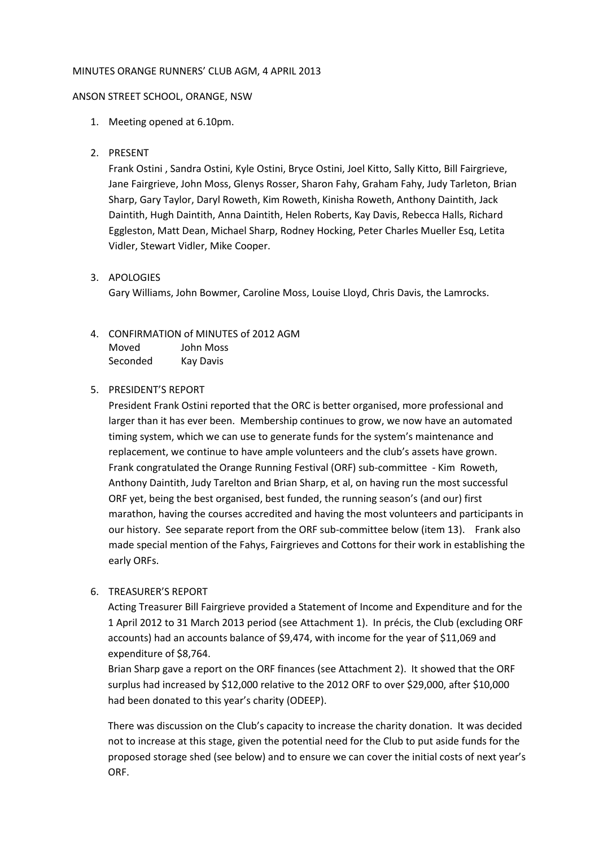### MINUTES ORANGE RUNNERS' CLUB AGM, 4 APRIL 2013

#### ANSON STREET SCHOOL, ORANGE, NSW

- 1. Meeting opened at 6.10pm.
- 2. PRESENT

Frank Ostini , Sandra Ostini, Kyle Ostini, Bryce Ostini, Joel Kitto, Sally Kitto, Bill Fairgrieve, Jane Fairgrieve, John Moss, Glenys Rosser, Sharon Fahy, Graham Fahy, Judy Tarleton, Brian Sharp, Gary Taylor, Daryl Roweth, Kim Roweth, Kinisha Roweth, Anthony Daintith, Jack Daintith, Hugh Daintith, Anna Daintith, Helen Roberts, Kay Davis, Rebecca Halls, Richard Eggleston, Matt Dean, Michael Sharp, Rodney Hocking, Peter Charles Mueller Esq, Letita Vidler, Stewart Vidler, Mike Cooper.

## 3. APOLOGIES

Gary Williams, John Bowmer, Caroline Moss, Louise Lloyd, Chris Davis, the Lamrocks.

# 4. CONFIRMATION of MINUTES of 2012 AGM

| Moved    | John Moss        |
|----------|------------------|
| Seconded | <b>Kay Davis</b> |

# 5. PRESIDENT'S REPORT

President Frank Ostini reported that the ORC is better organised, more professional and larger than it has ever been. Membership continues to grow, we now have an automated timing system, which we can use to generate funds for the system's maintenance and replacement, we continue to have ample volunteers and the club's assets have grown. Frank congratulated the Orange Running Festival (ORF) sub-committee - Kim Roweth, Anthony Daintith, Judy Tarelton and Brian Sharp, et al, on having run the most successful ORF yet, being the best organised, best funded, the running season's (and our) first marathon, having the courses accredited and having the most volunteers and participants in our history. See separate report from the ORF sub-committee below (item 13). Frank also made special mention of the Fahys, Fairgrieves and Cottons for their work in establishing the early ORFs.

## 6. TREASURER'S REPORT

Acting Treasurer Bill Fairgrieve provided a Statement of Income and Expenditure and for the 1 April 2012 to 31 March 2013 period (see Attachment 1). In précis, the Club (excluding ORF accounts) had an accounts balance of \$9,474, with income for the year of \$11,069 and expenditure of \$8,764.

Brian Sharp gave a report on the ORF finances (see Attachment 2). It showed that the ORF surplus had increased by \$12,000 relative to the 2012 ORF to over \$29,000, after \$10,000 had been donated to this year's charity (ODEEP).

There was discussion on the Club's capacity to increase the charity donation. It was decided not to increase at this stage, given the potential need for the Club to put aside funds for the proposed storage shed (see below) and to ensure we can cover the initial costs of next year's ORF.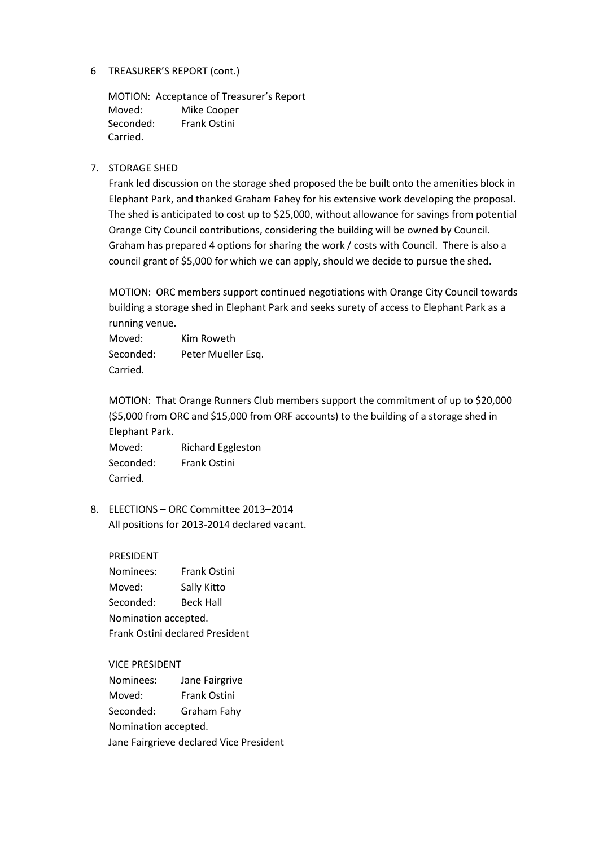# 6 TREASURER'S REPORT (cont.)

MOTION: Acceptance of Treasurer's Report Moved: Mike Cooper Seconded: Frank Ostini Carried.

# 7. STORAGE SHED

Frank led discussion on the storage shed proposed the be built onto the amenities block in Elephant Park, and thanked Graham Fahey for his extensive work developing the proposal. The shed is anticipated to cost up to \$25,000, without allowance for savings from potential Orange City Council contributions, considering the building will be owned by Council. Graham has prepared 4 options for sharing the work / costs with Council. There is also a council grant of \$5,000 for which we can apply, should we decide to pursue the shed.

MOTION: ORC members support continued negotiations with Orange City Council towards building a storage shed in Elephant Park and seeks surety of access to Elephant Park as a running venue.

Moved: Kim Roweth Seconded: Peter Mueller Esq. Carried.

MOTION: That Orange Runners Club members support the commitment of up to \$20,000 (\$5,000 from ORC and \$15,000 from ORF accounts) to the building of a storage shed in Elephant Park.

Moved: Richard Eggleston Seconded: Frank Ostini Carried.

8. ELECTIONS – ORC Committee 2013–2014 All positions for 2013-2014 declared vacant.

PRESIDENT Nominees: Frank Ostini Moved: Sally Kitto Seconded: Beck Hall Nomination accepted. Frank Ostini declared President

VICE PRESIDENT

Nominees: Jane Fairgrive Moved: Frank Ostini Seconded: Graham Fahy Nomination accepted. Jane Fairgrieve declared Vice President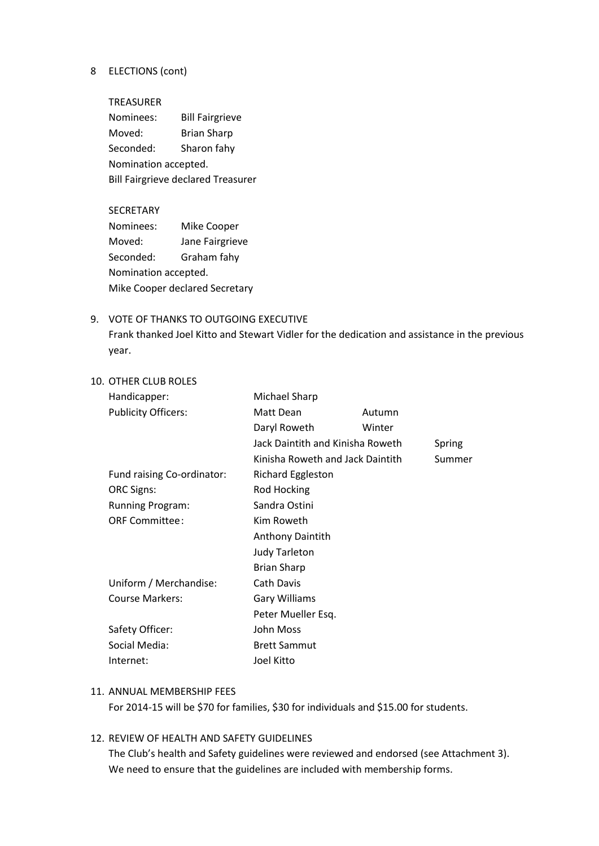### 8 ELECTIONS (cont)

TREASURER Nominees: Bill Fairgrieve Moved: Brian Sharp Seconded: Sharon fahy Nomination accepted. Bill Fairgrieve declared Treasurer

#### SECRETARY

Nominees: Mike Cooper Moved: Jane Fairgrieve Seconded: Graham fahy Nomination accepted. Mike Cooper declared Secretary

## 9. VOTE OF THANKS TO OUTGOING EXECUTIVE

Frank thanked Joel Kitto and Stewart Vidler for the dedication and assistance in the previous year.

## 10. OTHER CLUB ROLES

| Handicapper:               | Michael Sharp                                                                            |        |  |
|----------------------------|------------------------------------------------------------------------------------------|--------|--|
| <b>Publicity Officers:</b> | Matt Dean                                                                                | Autumn |  |
|                            | Daryl Roweth                                                                             | Winter |  |
|                            | Jack Daintith and Kinisha Roweth<br>Spring<br>Kinisha Roweth and Jack Daintith<br>Summer |        |  |
|                            |                                                                                          |        |  |
| Fund raising Co-ordinator: | <b>Richard Eggleston</b>                                                                 |        |  |
| <b>ORC Signs:</b>          | Rod Hocking                                                                              |        |  |
| <b>Running Program:</b>    | Sandra Ostini                                                                            |        |  |
| <b>ORF Committee:</b>      | Kim Roweth<br><b>Anthony Daintith</b>                                                    |        |  |
|                            |                                                                                          |        |  |
|                            | <b>Judy Tarleton</b>                                                                     |        |  |
|                            | <b>Brian Sharp</b>                                                                       |        |  |
| Uniform / Merchandise:     | <b>Cath Davis</b>                                                                        |        |  |
| Course Markers:            | <b>Gary Williams</b>                                                                     |        |  |
|                            | Peter Mueller Esq.                                                                       |        |  |
| Safety Officer:            | John Moss                                                                                |        |  |
| Social Media:              | <b>Brett Sammut</b>                                                                      |        |  |
| Internet:                  | Joel Kitto                                                                               |        |  |

### 11. ANNUAL MEMBERSHIP FEES

For 2014-15 will be \$70 for families, \$30 for individuals and \$15.00 for students.

## 12. REVIEW OF HEALTH AND SAFETY GUIDELINES

The Club's health and Safety guidelines were reviewed and endorsed (see Attachment 3). We need to ensure that the guidelines are included with membership forms.